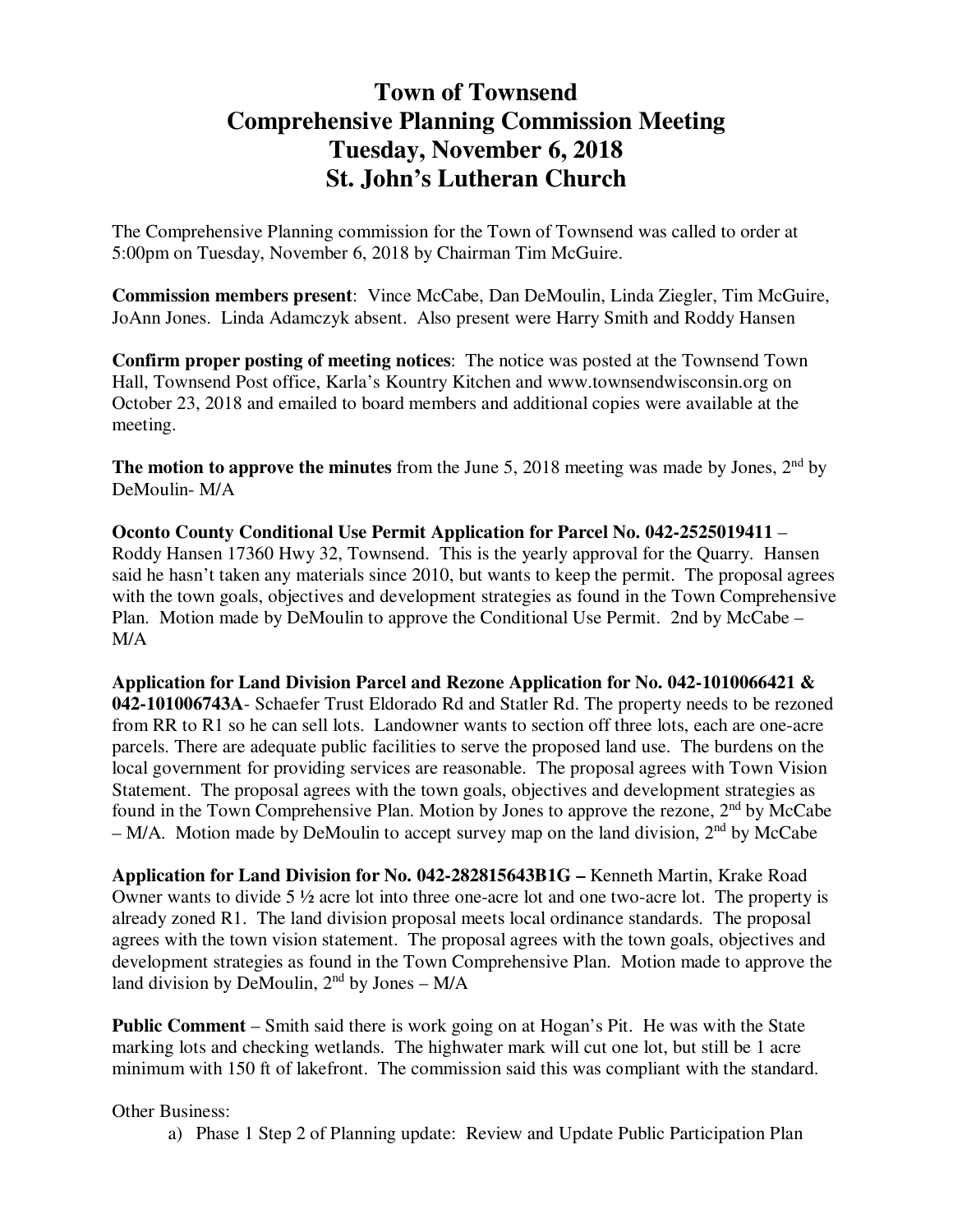## **Town of Townsend Comprehensive Planning Commission Meeting Tuesday, November 6, 2018 St. John's Lutheran Church**

The Comprehensive Planning commission for the Town of Townsend was called to order at 5:00pm on Tuesday, November 6, 2018 by Chairman Tim McGuire.

**Commission members present**: Vince McCabe, Dan DeMoulin, Linda Ziegler, Tim McGuire, JoAnn Jones. Linda Adamczyk absent. Also present were Harry Smith and Roddy Hansen

**Confirm proper posting of meeting notices**: The notice was posted at the Townsend Town Hall, Townsend Post office, Karla's Kountry Kitchen and www.townsendwisconsin.org on October 23, 2018 and emailed to board members and additional copies were available at the meeting.

**The motion to approve the minutes** from the June 5, 2018 meeting was made by Jones, 2<sup>nd</sup> by DeMoulin- M/A

**Oconto County Conditional Use Permit Application for Parcel No. 042-2525019411** – Roddy Hansen 17360 Hwy 32, Townsend. This is the yearly approval for the Quarry. Hansen said he hasn't taken any materials since 2010, but wants to keep the permit. The proposal agrees with the town goals, objectives and development strategies as found in the Town Comprehensive Plan. Motion made by DeMoulin to approve the Conditional Use Permit. 2nd by McCabe – M/A

**Application for Land Division Parcel and Rezone Application for No. 042-1010066421 & 042-101006743A**- Schaefer Trust Eldorado Rd and Statler Rd. The property needs to be rezoned from RR to R1 so he can sell lots. Landowner wants to section off three lots, each are one-acre parcels. There are adequate public facilities to serve the proposed land use. The burdens on the local government for providing services are reasonable. The proposal agrees with Town Vision Statement. The proposal agrees with the town goals, objectives and development strategies as found in the Town Comprehensive Plan. Motion by Jones to approve the rezone, 2<sup>nd</sup> by McCabe  $-M/A$ . Motion made by DeMoulin to accept survey map on the land division,  $2<sup>nd</sup>$  by McCabe

**Application for Land Division for No. 042-282815643B1G –** Kenneth Martin, Krake Road Owner wants to divide 5 ½ acre lot into three one-acre lot and one two-acre lot. The property is already zoned R1. The land division proposal meets local ordinance standards. The proposal agrees with the town vision statement. The proposal agrees with the town goals, objectives and development strategies as found in the Town Comprehensive Plan. Motion made to approve the land division by DeMoulin,  $2<sup>nd</sup>$  by Jones – M/A

**Public Comment** – Smith said there is work going on at Hogan's Pit. He was with the State marking lots and checking wetlands. The highwater mark will cut one lot, but still be 1 acre minimum with 150 ft of lakefront. The commission said this was compliant with the standard.

Other Business:

a) Phase 1 Step 2 of Planning update: Review and Update Public Participation Plan